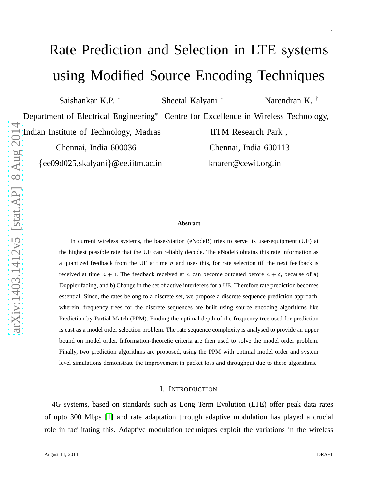# Rate Prediction and Selection in LTE systems using Modified Source Encoding Techniques

Saishankar K.P.

<sup>∗</sup> Sheetal Kalyani

<sup>∗</sup> Narendran K. †

1

Department of Electrical Engineering<sup>\*</sup> Centre for Excellence in Wireless Technology,<sup>†</sup>

Indian Institute of Technology, Madras IITM Research Park,

{ee09d025, skalyani}@ee.iitm.ac.in

Chennai, India 600036 Chennai, India 600113 knaren@cewit.org.in

#### **Abstract**

In current wireless systems, the base-Station (eNodeB) tries to serve its user-equipment (UE) at the highest possible rate that the UE can reliably decode. The eNodeB obtains this rate information as a quantized feedback from the UE at time  $n$  and uses this, for rate selection till the next feedback is received at time  $n + \delta$ . The feedback received at n can become outdated before  $n + \delta$ , because of a) Doppler fading, and b) Change in the set of active interferers for a UE. Therefore rate prediction becomes essential. Since, the rates belong to a discrete set, we propose a discrete sequence prediction approach, wherein, frequency trees for the discrete sequences are built using source encoding algorithms like Prediction by Partial Match (PPM). Finding the optimal depth of the frequency tree used for prediction is cast as a model order selection problem. The rate sequence complexity is analysed to provide an upper bound on model order. Information-theoretic criteria are then used to solve the model order problem. Finally, two prediction algorithms are proposed, using the PPM with optimal model order and system level simulations demonstrate the improvement in packet loss and throughput due to these algorithms.

#### I. INTRODUCTION

4G systems, based on standards such as Long Term Evolution (LTE) offer peak data rates of upto 300 Mbps [\[1\]](#page-28-0) and rate adaptation through adaptive modulation has played a crucial role in facilitating this. Adaptive modulation techniques exploit the variations in the wireless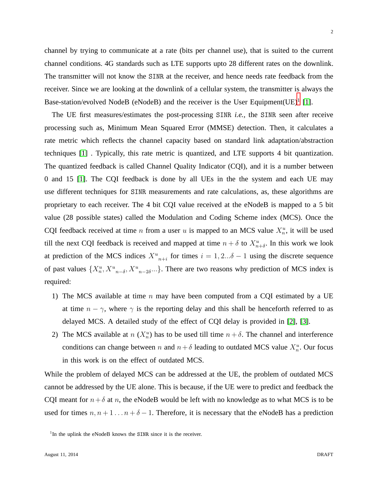channel by trying to communicate at a rate (bits per channel use), that is suited to the current channel conditions. 4G standards such as LTE supports upto 28 different rates on the downlink. The transmitter will not know the SINR at the receiver, and hence needs rate feedback from the receiver. Since we are looking at the downlink of a cellular system, the transmitter is always the Base-station/evolved NodeB (eNodeB) and the receiver is the User Equipment  $(UE)^{1}$  $(UE)^{1}$  $(UE)^{1}$  [\[1\]](#page-28-0).

The UE first measures/estimates the post-processing SINR *i.e.,* the SINR seen after receive processing such as, Minimum Mean Squared Error (MMSE) detection. Then, it calculates a rate metric which reflects the channel capacity based on standard link adaptation/abstraction techniques [\[1\]](#page-28-0) . Typically, this rate metric is quantized, and LTE supports 4 bit quantization. The quantized feedback is called Channel Quality Indicator (CQI), and it is a number between 0 and 15 [\[1\]](#page-28-0). The CQI feedback is done by all UEs in the the system and each UE may use different techniques for SINR measurements and rate calculations, as, these algorithms are proprietary to each receiver. The 4 bit CQI value received at the eNodeB is mapped to a 5 bit value (28 possible states) called the Modulation and Coding Scheme index (MCS). Once the CQI feedback received at time *n* from a user *u* is mapped to an MCS value  $X_n^u$ , it will be used till the next CQI feedback is received and mapped at time  $n + \delta$  to  $X_{n+\delta}^u$ . In this work we look at prediction of the MCS indices  $X_{n+i}^u$  for times  $i = 1, 2...\delta - 1$  using the discrete sequence of past values  ${X_n^u, X_{n-\delta}^u, X_{n-\delta}^u, \dots}$ . There are two reasons why prediction of MCS index is required:

- 1) The MCS available at time  $n$  may have been computed from a CQI estimated by a UE at time  $n - \gamma$ , where  $\gamma$  is the reporting delay and this shall be henceforth referred to as delayed MCS. A detailed study of the effect of CQI delay is provided in [\[2\]](#page-28-1), [\[3\]](#page-28-2).
- 2) The MCS available at  $n(X_n^u)$  has to be used till time  $n + \delta$ . The channel and interference conditions can change between n and  $n + \delta$  leading to outdated MCS value  $X_n^u$ . Our focus in this work is on the effect of outdated MCS.

While the problem of delayed MCS can be addressed at the UE, the problem of outdated MCS cannot be addressed by the UE alone. This is because, if the UE were to predict and feedback the CQI meant for  $n+\delta$  at n, the eNodeB would be left with no knowledge as to what MCS is to be used for times  $n, n+1...n+\delta-1$ . Therefore, it is necessary that the eNodeB has a prediction

<span id="page-1-0"></span><sup>&</sup>lt;sup>1</sup>In the uplink the eNodeB knows the SINR since it is the receiver.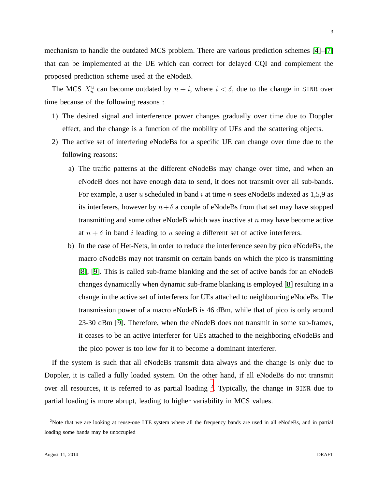mechanism to handle the outdated MCS problem. There are various prediction schemes [\[4\]](#page-28-3)–[\[7\]](#page-28-4) that can be implemented at the UE which can correct for delayed CQI and complement the proposed prediction scheme used at the eNodeB.

The MCS  $X_n^u$  can become outdated by  $n + i$ , where  $i < \delta$ , due to the change in SINR over time because of the following reasons :

- 1) The desired signal and interference power changes gradually over time due to Doppler effect, and the change is a function of the mobility of UEs and the scattering objects.
- 2) The active set of interfering eNodeBs for a specific UE can change over time due to the following reasons:
	- a) The traffic patterns at the different eNodeBs may change over time, and when an eNodeB does not have enough data to send, it does not transmit over all sub-bands. For example, a user u scheduled in band  $i$  at time n sees eNodeBs indexed as 1,5,9 as its interferers, however by  $n+\delta$  a couple of eNodeBs from that set may have stopped transmitting and some other eNodeB which was inactive at  $n$  may have become active at  $n + \delta$  in band i leading to u seeing a different set of active interferers.
	- b) In the case of Het-Nets, in order to reduce the interference seen by pico eNodeBs, the macro eNodeBs may not transmit on certain bands on which the pico is transmitting [\[8\]](#page-28-5), [\[9\]](#page-28-6). This is called sub-frame blanking and the set of active bands for an eNodeB changes dynamically when dynamic sub-frame blanking is employed [\[8\]](#page-28-5) resulting in a change in the active set of interferers for UEs attached to neighbouring eNodeBs. The transmission power of a macro eNodeB is 46 dBm, while that of pico is only around 23-30 dBm [\[9\]](#page-28-6). Therefore, when the eNodeB does not transmit in some sub-frames, it ceases to be an active interferer for UEs attached to the neighboring eNodeBs and the pico power is too low for it to become a dominant interferer.

If the system is such that all eNodeBs transmit data always and the change is only due to Doppler, it is called a fully loaded system. On the other hand, if all eNodeBs do not transmit over all resources, it is referred to as partial loading <sup>[2](#page-2-0)</sup>. Typically, the change in SINR due to partial loading is more abrupt, leading to higher variability in MCS values.

<span id="page-2-0"></span><sup>&</sup>lt;sup>2</sup>Note that we are looking at reuse-one LTE system where all the frequency bands are used in all eNodeBs, and in partial loading some bands may be unoccupied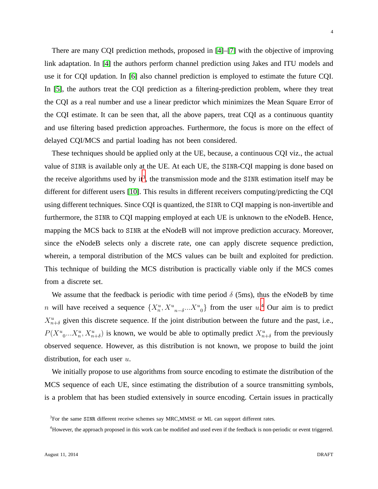4

There are many CQI prediction methods, proposed in [\[4\]](#page-28-3)–[\[7\]](#page-28-4) with the objective of improving link adaptation. In [\[4\]](#page-28-3) the authors perform channel prediction using Jakes and ITU models and use it for CQI updation. In [\[6\]](#page-28-7) also channel prediction is employed to estimate the future CQI. In [\[5\]](#page-28-8), the authors treat the CQI prediction as a filtering-prediction problem, where they treat the CQI as a real number and use a linear predictor which minimizes the Mean Square Error of the CQI estimate. It can be seen that, all the above papers, treat CQI as a continuous quantity and use filtering based prediction approaches. Furthermore, the focus is more on the effect of delayed CQI/MCS and partial loading has not been considered.

These techniques should be applied only at the UE, because, a continuous CQI viz., the actual value of SINR is available only at the UE. At each UE, the SINR-CQI mapping is done based on the receive algorithms used by it<sup>[3](#page-3-0)</sup>, the transmission mode and the SINR estimation itself may be different for different users [\[10\]](#page-28-9). This results in different receivers computing/predicting the CQI using different techniques. Since CQI is quantized, the SINR to CQI mapping is non-invertible and furthermore, the SINR to CQI mapping employed at each UE is unknown to the eNodeB. Hence, mapping the MCS back to SINR at the eNodeB will not improve prediction accuracy. Moreover, since the eNodeB selects only a discrete rate, one can apply discrete sequence prediction, wherein, a temporal distribution of the MCS values can be built and exploited for prediction. This technique of building the MCS distribution is practically viable only if the MCS comes from a discrete set.

We assume that the feedback is periodic with time period  $\delta$  (5ms), thus the eNodeB by time n will have received a sequence  $\{X_n^u, X_{n-\delta}^u, X_{n-\delta}^u\}$  from the user  $u^A$ . Our aim is to predict  $X_{n+\delta}^u$  given this discrete sequence. If the joint distribution between the future and the past, i.e.,  $P(X_{0}^{u}...X_{n}^{u}, X_{n+\delta}^{u})$  is known, we would be able to optimally predict  $X_{n+\delta}^{u}$  from the previously observed sequence. However, as this distribution is not known, we propose to build the joint distribution, for each user  $u$ .

We initially propose to use algorithms from source encoding to estimate the distribution of the MCS sequence of each UE, since estimating the distribution of a source transmitting symbols, is a problem that has been studied extensively in source encoding. Certain issues in practically

<sup>&</sup>lt;sup>3</sup>For the same SINR different receive schemes say MRC, MMSE or ML can support different rates.

<span id="page-3-1"></span><span id="page-3-0"></span><sup>&</sup>lt;sup>4</sup>However, the approach proposed in this work can be modified and used even if the feedback is non-periodic or event triggered.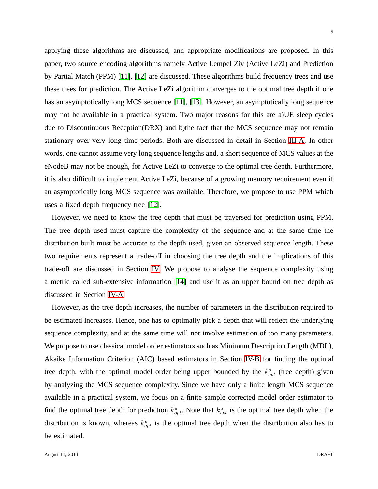applying these algorithms are discussed, and appropriate modifications are proposed. In this paper, two source encoding algorithms namely Active Lempel Ziv (Active LeZi) and Prediction by Partial Match (PPM) [\[11\]](#page-28-10), [\[12\]](#page-28-11) are discussed. These algorithms build frequency trees and use these trees for prediction. The Active LeZi algorithm converges to the optimal tree depth if one has an asymptotically long MCS sequence [\[11\]](#page-28-10), [\[13\]](#page-28-12). However, an asymptotically long sequence may not be available in a practical system. Two major reasons for this are a)UE sleep cycles due to Discontinuous Reception(DRX) and b)the fact that the MCS sequence may not remain stationary over very long time periods. Both are discussed in detail in Section [III-A.](#page-8-0) In other words, one cannot assume very long sequence lengths and, a short sequence of MCS values at the eNodeB may not be enough, for Active LeZi to converge to the optimal tree depth. Furthermore, it is also difficult to implement Active LeZi, because of a growing memory requirement even if an asymptotically long MCS sequence was available. Therefore, we propose to use PPM which uses a fixed depth frequency tree [\[12\]](#page-28-11).

However, we need to know the tree depth that must be traversed for prediction using PPM. The tree depth used must capture the complexity of the sequence and at the same time the distribution built must be accurate to the depth used, given an observed sequence length. These two requirements represent a trade-off in choosing the tree depth and the implications of this trade-off are discussed in Section [IV.](#page-13-0) We propose to analyse the sequence complexity using a metric called sub-extensive information [\[14\]](#page-28-13) and use it as an upper bound on tree depth as discussed in Section [IV-A.](#page-14-0)

However, as the tree depth increases, the number of parameters in the distribution required to be estimated increases. Hence, one has to optimally pick a depth that will reflect the underlying sequence complexity, and at the same time will not involve estimation of too many parameters. We propose to use classical model order estimators such as Minimum Description Length (MDL), Akaike Information Criterion (AIC) based estimators in Section [IV-B](#page-18-0) for finding the optimal tree depth, with the optimal model order being upper bounded by the  $k_{opt}^u$  (tree depth) given by analyzing the MCS sequence complexity. Since we have only a finite length MCS sequence available in a practical system, we focus on a finite sample corrected model order estimator to find the optimal tree depth for prediction  $\tilde{k}_{opt}^u$ . Note that  $k_{opt}^u$  is the optimal tree depth when the distribution is known, whereas  $\tilde{k}_{opt}^u$  is the optimal tree depth when the distribution also has to be estimated.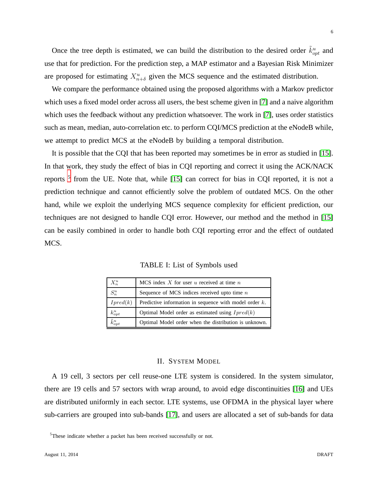Once the tree depth is estimated, we can build the distribution to the desired order  $\tilde{k}_{opt}^u$  and use that for prediction. For the prediction step, a MAP estimator and a Bayesian Risk Minimizer are proposed for estimating  $X_{n+\delta}^u$  given the MCS sequence and the estimated distribution.

We compare the performance obtained using the proposed algorithms with a Markov predictor which uses a fixed model order across all users, the best scheme given in [\[7\]](#page-28-4) and a naive algorithm which uses the feedback without any prediction whatsoever. The work in [\[7\]](#page-28-4), uses order statistics such as mean, median, auto-correlation etc. to perform CQI/MCS prediction at the eNodeB while, we attempt to predict MCS at the eNodeB by building a temporal distribution.

It is possible that the CQI that has been reported may sometimes be in error as studied in [\[15\]](#page-29-0). In that work, they study the effect of bias in CQI reporting and correct it using the ACK/NACK reports<sup>[5](#page-5-0)</sup> from the UE. Note that, while [\[15\]](#page-29-0) can correct for bias in CQI reported, it is not a prediction technique and cannot efficiently solve the problem of outdated MCS. On the other hand, while we exploit the underlying MCS sequence complexity for efficient prediction, our techniques are not designed to handle CQI error. However, our method and the method in [\[15\]](#page-29-0) can be easily combined in order to handle both CQI reporting error and the effect of outdated MCS.

| $X_n^u$             | MCS index $X$ for user $u$ received at time $n$           |
|---------------------|-----------------------------------------------------------|
| $S_n^u$             | Sequence of MCS indices received upto time $n$            |
| Ipred(k)            | Predictive information in sequence with model order $k$ . |
| $k_{opt}^u$         | Optimal Model order as estimated using $Ipred(k)$         |
| $\tilde{k}_{opt}^u$ | Optimal Model order when the distribution is unknown.     |

TABLE I: List of Symbols used

# II. SYSTEM MODEL

<span id="page-5-1"></span>A 19 cell, 3 sectors per cell reuse-one LTE system is considered. In the system simulator, there are 19 cells and 57 sectors with wrap around, to avoid edge discontinuities [\[16\]](#page-29-1) and UEs are distributed uniformly in each sector. LTE systems, use OFDMA in the physical layer where sub-carriers are grouped into sub-bands [\[17\]](#page-29-2), and users are allocated a set of sub-bands for data

<span id="page-5-0"></span><sup>&</sup>lt;sup>5</sup>These indicate whether a packet has been received successfully or not.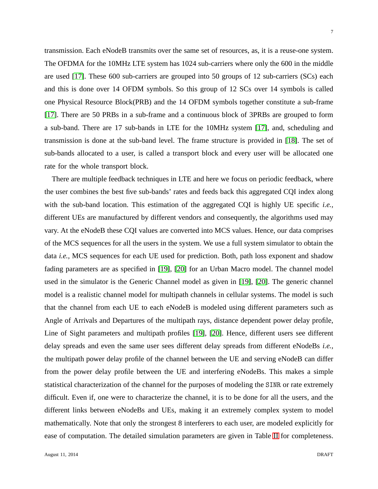transmission. Each eNodeB transmits over the same set of resources, as, it is a reuse-one system. The OFDMA for the 10MHz LTE system has 1024 sub-carriers where only the 600 in the middle are used [\[17\]](#page-29-2). These 600 sub-carriers are grouped into 50 groups of 12 sub-carriers (SCs) each and this is done over 14 OFDM symbols. So this group of 12 SCs over 14 symbols is called one Physical Resource Block(PRB) and the 14 OFDM symbols together constitute a sub-frame [\[17\]](#page-29-2). There are 50 PRBs in a sub-frame and a continuous block of 3PRBs are grouped to form a sub-band. There are 17 sub-bands in LTE for the 10MHz system [\[17\]](#page-29-2), and, scheduling and transmission is done at the sub-band level. The frame structure is provided in [\[18\]](#page-29-3). The set of sub-bands allocated to a user, is called a transport block and every user will be allocated one rate for the whole transport block.

There are multiple feedback techniques in LTE and here we focus on periodic feedback, where the user combines the best five sub-bands' rates and feeds back this aggregated CQI index along with the sub-band location. This estimation of the aggregated CQI is highly UE specific *i.e.,* different UEs are manufactured by different vendors and consequently, the algorithms used may vary. At the eNodeB these CQI values are converted into MCS values. Hence, our data comprises of the MCS sequences for all the users in the system. We use a full system simulator to obtain the data *i.e.,* MCS sequences for each UE used for prediction. Both, path loss exponent and shadow fading parameters are as specified in [\[19\]](#page-29-4), [\[20\]](#page-29-5) for an Urban Macro model. The channel model used in the simulator is the Generic Channel model as given in [\[19\]](#page-29-4), [\[20\]](#page-29-5). The generic channel model is a realistic channel model for multipath channels in cellular systems. The model is such that the channel from each UE to each eNodeB is modeled using different parameters such as Angle of Arrivals and Departures of the multipath rays, distance dependent power delay profile, Line of Sight parameters and multipath profiles [\[19\]](#page-29-4), [\[20\]](#page-29-5). Hence, different users see different delay spreads and even the same user sees different delay spreads from different eNodeBs *i.e.,* the multipath power delay profile of the channel between the UE and serving eNodeB can differ from the power delay profile between the UE and interfering eNodeBs. This makes a simple statistical characterization of the channel for the purposes of modeling the SINR or rate extremely difficult. Even if, one were to characterize the channel, it is to be done for all the users, and the different links between eNodeBs and UEs, making it an extremely complex system to model mathematically. Note that only the strongest 8 interferers to each user, are modeled explicitly for ease of computation. The detailed simulation parameters are given in Table [II](#page-7-0) for completeness.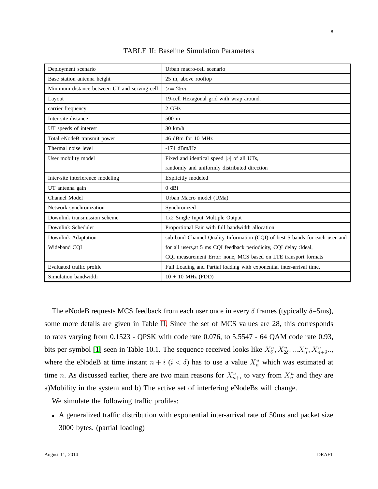<span id="page-7-0"></span>

| Deployment scenario                          | Urban macro-cell scenario                                                    |
|----------------------------------------------|------------------------------------------------------------------------------|
| Base station antenna height                  | 25 m, above rooftop                                                          |
| Minimum distance between UT and serving cell | $>= 25m$                                                                     |
| Layout                                       | 19-cell Hexagonal grid with wrap around.                                     |
| carrier frequency                            | $2$ GHz                                                                      |
| Inter-site distance                          | $500 \text{ m}$                                                              |
| UT speeds of interest                        | $30 \text{ km/h}$                                                            |
| Total eNodeB transmit power                  | 46 dBm for 10 MHz                                                            |
| Thermal noise level                          | $-174$ dBm/Hz                                                                |
| User mobility model                          | Fixed and identical speed  v  of all UTs,                                    |
|                                              | randomly and uniformly distributed direction                                 |
| Inter-site interference modeling             | Explicitly modeled                                                           |
| UT antenna gain                              | $0$ dBi                                                                      |
| Channel Model                                | Urban Macro model (UMa)                                                      |
| Network synchronization                      | Synchronized                                                                 |
| Downlink transmission scheme                 | 1x2 Single Input Multiple Output                                             |
| Downlink Scheduler                           | Proportional Fair with full bandwidth allocation                             |
| Downlink Adaptation                          | sub-band Channel Quality Information (CQI) of best 5 bands for each user and |
| Wideband CQI                                 | for all users, at 5 ms CQI feedback periodicity, CQI delay : Ideal,          |
|                                              | CQI measurement Error: none, MCS based on LTE transport formats              |
| Evaluated traffic profile                    | Full Loading and Partial loading with exponential inter-arrival time.        |
| Simulation bandwidth                         | $10 + 10$ MHz (FDD)                                                          |

TABLE II: Baseline Simulation Parameters

The eNodeB requests MCS feedback from each user once in every  $\delta$  frames (typically  $\delta$ =5ms), some more details are given in Table [II.](#page-7-0) Since the set of MCS values are 28, this corresponds to rates varying from 0.1523 - QPSK with code rate 0.076, to 5.5547 - 64 QAM code rate 0.93, bits per symbol [\[1\]](#page-28-0) seen in Table 10.1. The sequence received looks like  $X^u_{\delta}, X^u_{2\delta}, ... X^u_n, X^u_{n+\delta}...$ where the eNodeB at time instant  $n + i$  ( $i < \delta$ ) has to use a value  $X_n^u$  which was estimated at time *n*. As discussed earlier, there are two main reasons for  $X_{n+i}^u$  to vary from  $X_n^u$  and they are a)Mobility in the system and b) The active set of interfering eNodeBs will change.

We simulate the following traffic profiles:

• A generalized traffic distribution with exponential inter-arrival rate of 50ms and packet size 3000 bytes. (partial loading)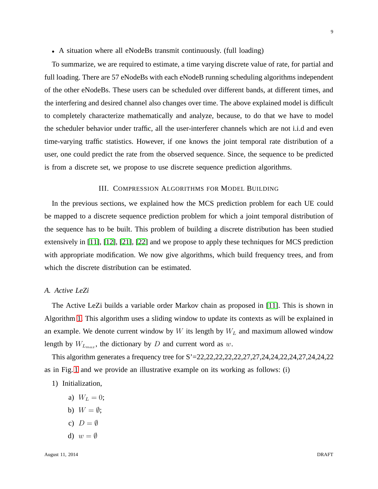#### • A situation where all eNodeBs transmit continuously. (full loading)

To summarize, we are required to estimate, a time varying discrete value of rate, for partial and full loading. There are 57 eNodeBs with each eNodeB running scheduling algorithms independent of the other eNodeBs. These users can be scheduled over different bands, at different times, and the interfering and desired channel also changes over time. The above explained model is difficult to completely characterize mathematically and analyze, because, to do that we have to model the scheduler behavior under traffic, all the user-interferer channels which are not i.i.d and even time-varying traffic statistics. However, if one knows the joint temporal rate distribution of a user, one could predict the rate from the observed sequence. Since, the sequence to be predicted is from a discrete set, we propose to use discrete sequence prediction algorithms.

# III. COMPRESSION ALGORITHMS FOR MODEL BUILDING

In the previous sections, we explained how the MCS prediction problem for each UE could be mapped to a discrete sequence prediction problem for which a joint temporal distribution of the sequence has to be built. This problem of building a discrete distribution has been studied extensively in [\[11\]](#page-28-10), [\[12\]](#page-28-11), [\[21\]](#page-29-6), [\[22\]](#page-29-7) and we propose to apply these techniques for MCS prediction with appropriate modification. We now give algorithms, which build frequency trees, and from which the discrete distribution can be estimated.

#### <span id="page-8-0"></span>*A. Active LeZi*

The Active LeZi builds a variable order Markov chain as proposed in [\[11\]](#page-28-10). This is shown in Algorithm [1.](#page-9-0) This algorithm uses a sliding window to update its contexts as will be explained in an example. We denote current window by  $W$  its length by  $W_L$  and maximum allowed window length by  $W_{L_{max}}$ , the dictionary by D and current word as w.

This algorithm generates a frequency tree for S'=22,22,22,22,22,27,27,24,24,22,24,27,24,24,22 as in Fig. [1](#page-10-0) and we provide an illustrative example on its working as follows: (i)

- 1) Initialization,
	- a)  $W_L = 0$ ;
	- b)  $W = \emptyset$ ;
	- c)  $D = \emptyset$
	- d)  $w = \emptyset$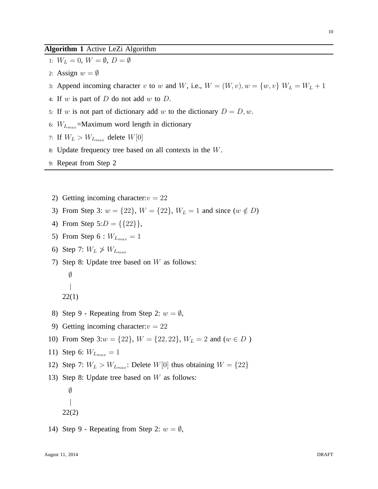# <span id="page-9-0"></span>**Algorithm 1** Active LeZi Algorithm

- 1:  $W_L = 0$ ,  $W = \emptyset$ ,  $D = \emptyset$
- 2: Assign  $w = \emptyset$
- 3: Append incoming character v to w and W, i.e.,  $W = (W, v), w = \{w, v\}$   $W_L = W_L + 1$
- 4: If  $w$  is part of  $D$  do not add  $w$  to  $D$ .
- 5: If w is not part of dictionary add w to the dictionary  $D = D, w$ .
- 6:  $W_{L_{max}}$ =Maximum word length in dictionary
- 7: If  $W_L > W_{L_{max}}$  delete  $W[0]$
- 8: Update frequency tree based on all contexts in the W.
- 9: Repeat from Step 2
- 2) Getting incoming character:  $v = 22$
- 3) From Step 3:  $w = \{22\}$ ,  $W = \{22\}$ ,  $W_L = 1$  and since  $(w \notin D)$
- 4) From Step  $5:D = \{\{22\}\}\,$ ,
- 5) From Step 6 :  $W_{L_{max}} = 1$
- 6) Step 7:  $W_L \not\geq W_{L_{max}}$
- 7) Step 8: Update tree based on  $W$  as follows:
	- $\emptyset$
	- 22(1)
- 8) Step 9 Repeating from Step 2:  $w = \emptyset$ ,
- 9) Getting incoming character:  $v = 22$
- 10) From Step 3: $w = \{22\}$ ,  $W = \{22, 22\}$ ,  $W_L = 2$  and  $(w \in D)$
- 11) Step 6:  $W_{L_{max}} = 1$
- 12) Step 7:  $W_L > W_{L_{max}}$ : Delete  $W[0]$  thus obtaining  $W = \{22\}$
- 13) Step 8: Update tree based on W as follows:
	- $\emptyset$ 22(2)
- 14) Step 9 Repeating from Step 2:  $w = \emptyset$ ,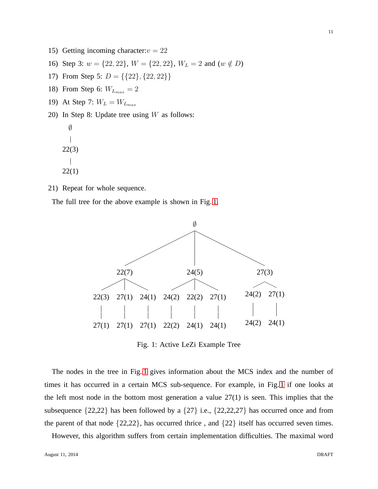- 15) Getting incoming character:  $v = 22$
- 16) Step 3:  $w = \{22, 22\}$ ,  $W = \{22, 22\}$ ,  $W_L = 2$  and  $(w \notin D)$
- 17) From Step 5:  $D = \{\{22\}, \{22, 22\}\}\$
- 18) From Step 6:  $W_{L_{max}} = 2$
- 19) At Step 7:  $W_L = W_{L_{max}}$
- 20) In Step 8: Update tree using  $W$  as follows:

```
\emptyset\overline{\phantom{a}}22(3)
\mathbb{I}22(1)
```
21) Repeat for whole sequence.

<span id="page-10-0"></span>The full tree for the above example is shown in Fig. [1.](#page-10-0)



Fig. 1: Active LeZi Example Tree

The nodes in the tree in Fig. [1](#page-10-0) gives information about the MCS index and the number of times it has occurred in a certain MCS sub-sequence. For example, in Fig. [1](#page-10-0) if one looks at the left most node in the bottom most generation a value  $27(1)$  is seen. This implies that the subsequence {22,22} has been followed by a {27} i.e., {22,22,27} has occurred once and from the parent of that node {22,22}, has occurred thrice , and {22} itself has occurred seven times.

However, this algorithm suffers from certain implementation difficulties. The maximal word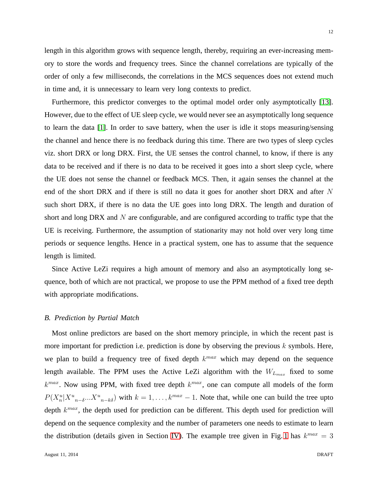length in this algorithm grows with sequence length, thereby, requiring an ever-increasing memory to store the words and frequency trees. Since the channel correlations are typically of the order of only a few milliseconds, the correlations in the MCS sequences does not extend much in time and, it is unnecessary to learn very long contexts to predict.

Furthermore, this predictor converges to the optimal model order only asymptotically [\[13\]](#page-28-12). However, due to the effect of UE sleep cycle, we would never see an asymptotically long sequence to learn the data [\[1\]](#page-28-0). In order to save battery, when the user is idle it stops measuring/sensing the channel and hence there is no feedback during this time. There are two types of sleep cycles viz. short DRX or long DRX. First, the UE senses the control channel, to know, if there is any data to be received and if there is no data to be received it goes into a short sleep cycle, where the UE does not sense the channel or feedback MCS. Then, it again senses the channel at the end of the short DRX and if there is still no data it goes for another short DRX and after N such short DRX, if there is no data the UE goes into long DRX. The length and duration of short and long DRX and  $N$  are configurable, and are configured according to traffic type that the UE is receiving. Furthermore, the assumption of stationarity may not hold over very long time periods or sequence lengths. Hence in a practical system, one has to assume that the sequence length is limited.

Since Active LeZi requires a high amount of memory and also an asymptotically long sequence, both of which are not practical, we propose to use the PPM method of a fixed tree depth with appropriate modifications.

#### *B. Prediction by Partial Match*

Most online predictors are based on the short memory principle, in which the recent past is more important for prediction i.e. prediction is done by observing the previous  $k$  symbols. Here, we plan to build a frequency tree of fixed depth  $k^{max}$  which may depend on the sequence length available. The PPM uses the Active LeZi algorithm with the  $W_{L_{max}}$  fixed to some  $k^{max}$ . Now using PPM, with fixed tree depth  $k^{max}$ , one can compute all models of the form  $P(X_n^u|X_{n-\delta}^u...X_{n-k\delta}^u)$  with  $k=1,\ldots,k^{max}-1$ . Note that, while one can build the tree upto depth  $k^{max}$ , the depth used for prediction can be different. This depth used for prediction will depend on the sequence complexity and the number of parameters one needs to estimate to learn the distribution (details given in Section [IV\)](#page-13-0). The example tree given in Fig. [1](#page-10-0) has  $k^{max} = 3$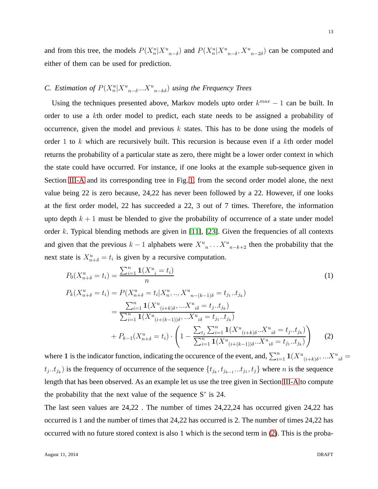and from this tree, the models  $P(X_n^u | X_{n-\delta}^u)$  and  $P(X_n^u | X_{n-\delta}^u, X_{n-2\delta}^u)$  can be computed and either of them can be used for prediction.

# *C.* Estimation of  $P(X_n^u | X^u_{n-\delta} ... X^u_{n-k\delta})$  using the Frequency Trees

Using the techniques presented above, Markov models upto order  $k^{max} - 1$  can be built. In order to use a kth order model to predict, each state needs to be assigned a probability of occurrence, given the model and previous  $k$  states. This has to be done using the models of order 1 to  $k$  which are recursively built. This recursion is because even if a  $k$ th order model returns the probability of a particular state as zero, there might be a lower order context in which the state could have occurred. For instance, if one looks at the example sub-sequence given in Section [III-A](#page-8-0) and its corresponding tree in Fig. [1,](#page-10-0) from the second order model alone, the next value being 22 is zero because, 24,22 has never been followed by a 22. However, if one looks at the first order model, 22 has succeeded a 22, 3 out of 7 times. Therefore, the information upto depth  $k + 1$  must be blended to give the probability of occurrence of a state under model order k. Typical blending methods are given in  $[11]$ ,  $[23]$ . Given the frequencies of all contexts and given that the previous  $k-1$  alphabets were  $X^u{}_n \dots X^u{}_{n-k+2}$  then the probability that the next state is  $X_{n+\delta}^u = t_i$  is given by a recursive computation.

<span id="page-12-1"></span>
$$
P_0(X_{n+\delta}^u = t_i) = \frac{\sum_{i=1}^n \mathbf{1}(X_{i}^u = t_i)}{n} \tag{1}
$$

<span id="page-12-0"></span>
$$
P_k(X_{n+\delta}^u = t_i) = P(X_{n+\delta}^u = t_i | X_n^u, ..., X_{n-(k-1)\delta}^u = t_{j_1}..t_{j_k})
$$
  
= 
$$
\frac{\sum_{i=1}^n \mathbf{1}(X_{(i+k)\delta}^u, ..., X_{i\delta}^u = t_{j}..t_{j_k})}{\sum_{i=1}^n \mathbf{1}(X_{(i+(k-1))\delta}^u, ..., X_{i\delta}^u = t_{j_1}..t_{j_k})}
$$
  
+ 
$$
P_{k-1}(X_{n+\delta}^u = t_i) \cdot \left(1 - \frac{\sum_{t_j} \sum_{i=1}^n \mathbf{1}(X_{(i+(k)\delta)}^u, X_{i\delta}^u = t_{j}..t_{j_k})}{\sum_{i=1}^n \mathbf{1}(X_{(i+(k-1))\delta}^u, X_{i\delta}^u = t_{j_1}..t_{j_k})}\right)
$$
(2)

where 1 is the indicator function, indicating the occurence of the event, and,  $\sum_{i=1}^{n} 1(X^u_{(i+k)\delta},...X^u_{i\delta} =$  $t_j..t_{j_k}$ ) is the frequency of occurrence of the sequence  $\{t_{j_k}, t_{j_{k-1}}...t_{j_1}, t_j\}$  where n is the sequence length that has been observed. As an example let us use the tree given in Section [III-A](#page-8-0) to compute the probability that the next value of the sequence S' is 24.

The last seen values are 24,22 . The number of times 24,22,24 has occurred given 24,22 has occurred is 1 and the number of times that 24,22 has occurred is 2. The number of times 24,22 has occurred with no future stored context is also 1 which is the second term in [\(2\)](#page-12-0). This is the proba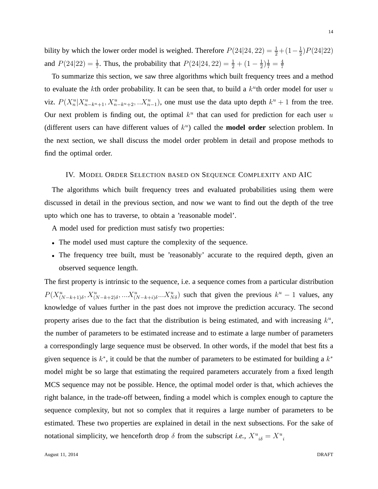bility by which the lower order model is weighed. Therefore  $P(24|24, 22) = \frac{1}{2} + (1 - \frac{1}{2})$  $\frac{1}{2}$ ) $P(24|22)$ and  $P(24|22) = \frac{1}{7}$ . Thus, the probability that  $P(24|24, 22) = \frac{1}{2} + (1 - \frac{1}{2})$  $(\frac{1}{2})\frac{1}{7}=\frac{4}{7}$ 7

To summarize this section, we saw three algorithms which built frequency trees and a method to evaluate the kth order probability. It can be seen that, to build a  $k^u$ th order model for user u viz.  $P(X_n^u | X_{n-k^u+1}^u, X_{n-k^u+2}^u, X_{n-1}^u)$ , one must use the data upto depth  $k^u + 1$  from the tree. Our next problem is finding out, the optimal  $k<sup>u</sup>$  that can used for prediction for each user u (different users can have different values of  $k<sup>u</sup>$ ) called the **model order** selection problem. In the next section, we shall discuss the model order problem in detail and propose methods to find the optimal order.

#### <span id="page-13-0"></span>IV. MODEL ORDER SELECTION BASED ON SEQUENCE COMPLEXITY AND AIC

The algorithms which built frequency trees and evaluated probabilities using them were discussed in detail in the previous section, and now we want to find out the depth of the tree upto which one has to traverse, to obtain a 'reasonable model'.

A model used for prediction must satisfy two properties:

- The model used must capture the complexity of the sequence.
- The frequency tree built, must be 'reasonably' accurate to the required depth, given an observed sequence length.

The first property is intrinsic to the sequence, i.e. a sequence comes from a particular distribution  $P(X_{(N-k+1)\delta}^u, X_{(N-k+2)\delta}^u, ... X_{(N-k+i)\delta}^u... X_{N\delta}^u)$  such that given the previous  $k^u - 1$  values, any knowledge of values further in the past does not improve the prediction accuracy. The second property arises due to the fact that the distribution is being estimated, and with increasing  $k^u$ , the number of parameters to be estimated increase and to estimate a large number of parameters a correspondingly large sequence must be observed. In other words, if the model that best fits a given sequence is  $k^*$ , it could be that the number of parameters to be estimated for building a  $k^*$ model might be so large that estimating the required parameters accurately from a fixed length MCS sequence may not be possible. Hence, the optimal model order is that, which achieves the right balance, in the trade-off between, finding a model which is complex enough to capture the sequence complexity, but not so complex that it requires a large number of parameters to be estimated. These two properties are explained in detail in the next subsections. For the sake of notational simplicity, we henceforth drop  $\delta$  from the subscript *i.e.*,  $X^u_{\ \,i\delta} = X^u_{\ \,i\delta}$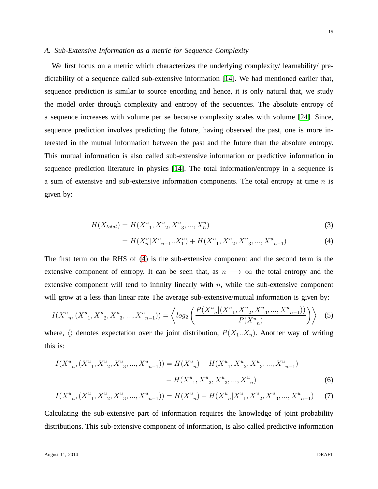# <span id="page-14-0"></span>*A. Sub-Extensive Information as a metric for Sequence Complexity*

We first focus on a metric which characterizes the underlying complexity/ learnability/ predictability of a sequence called sub-extensive information [\[14\]](#page-28-13). We had mentioned earlier that, sequence prediction is similar to source encoding and hence, it is only natural that, we study the model order through complexity and entropy of the sequences. The absolute entropy of a sequence increases with volume per se because complexity scales with volume [\[24\]](#page-29-9). Since, sequence prediction involves predicting the future, having observed the past, one is more interested in the mutual information between the past and the future than the absolute entropy. This mutual information is also called sub-extensive information or predictive information in sequence prediction literature in physics [\[14\]](#page-28-13). The total information/entropy in a sequence is a sum of extensive and sub-extensive information components. The total entropy at time  $n$  is given by:

$$
H(X_{total}) = H(X_{-1}^{u}, X_{-2}^{u}, X_{-3}^{u}, ..., X_{n}^{u})
$$
\n(3)

<span id="page-14-1"></span>
$$
= H(X_n^u | X_{n-1}^u ... X_1^u) + H(X_{-1}^u, X_{-2}^u, X_{-3}^u, ..., X_{-n-1}^u)
$$
\n<sup>(4)</sup>

The first term on the RHS of [\(4\)](#page-14-1) is the sub-extensive component and the second term is the extensive component of entropy. It can be seen that, as  $n \rightarrow \infty$  the total entropy and the extensive component will tend to infinity linearly with  $n$ , while the sub-extensive component will grow at a less than linear rate The average sub-extensive/mutual information is given by:

$$
I(X^{u}_{n}, (X^{u}_{1}, X^{u}_{2}, X^{u}_{3}, ..., X^{u}_{n-1})) = \left\langle \log_{2} \left( \frac{P(X^{u}_{n}|(X^{u}_{1}, X^{u}_{2}, X^{u}_{3}, ..., X^{u}_{n-1}))}{P(X^{u}_{n})} \right) \right\rangle \tag{5}
$$

where,  $\langle \rangle$  denotes expectation over the joint distribution,  $P(X_1..X_n)$ . Another way of writing this is:

$$
I(X^{u}_{n}, (X^{u}_{1}, X^{u}_{2}, X^{u}_{3}, ..., X^{u}_{n-1})) = H(X^{u}_{n}) + H(X^{u}_{1}, X^{u}_{2}, X^{u}_{3}, ..., X^{u}_{n-1}) - H(X^{u}_{1}, X^{u}_{2}, X^{u}_{3}, ..., X^{u}_{n})
$$
\n
$$
(6)
$$

$$
I(X_{n}^{u}, (X_{1}^{u}, X_{2}^{u}, X_{3}^{u}, ..., X_{n-1}^{u})) = H(X_{n}^{u}) - H(X_{n}^{u}|X_{1}^{u}, X_{2}^{u}, X_{3}^{u}, ..., X_{n-1}^{u})
$$
 (7)

Calculating the sub-extensive part of information requires the knowledge of joint probability distributions. This sub-extensive component of information, is also called predictive information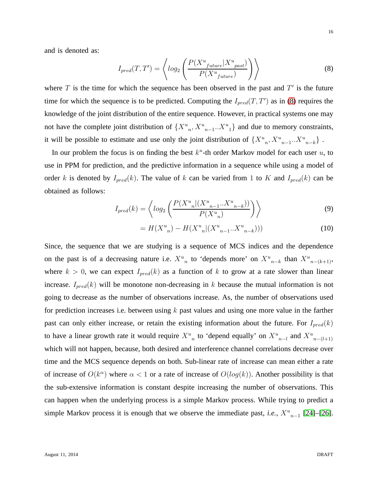and is denoted as:

<span id="page-15-0"></span>
$$
I_{pred}(T, T') = \left\langle \log_2 \left( \frac{P(X^u_{future} | X^u_{past})}{P(X^u_{future})} \right) \right\rangle \tag{8}
$$

where  $T$  is the time for which the sequence has been observed in the past and  $T'$  is the future time for which the sequence is to be predicted. Computing the  $I_{pred}(T, T')$  as in [\(8\)](#page-15-0) requires the knowledge of the joint distribution of the entire sequence. However, in practical systems one may not have the complete joint distribution of  ${X^u}_n, X^u_{n-1}...X^u_{1}$  and due to memory constraints, it will be possible to estimate and use only the joint distribution of  ${X^u}_n, X^u_{n-1}..X^u_{n-k}$ .

In our problem the focus is on finding the best  $k^u$ -th order Markov model for each user  $u$ , to use in PPM for prediction, and the predictive information in a sequence while using a model of order k is denoted by  $I_{pred}(k)$ . The value of k can be varied from 1 to K and  $I_{pred}(k)$  can be obtained as follows:

$$
I_{pred}(k) = \left\langle \log_2 \left( \frac{P(X_{n}^u | (X_{n-1}^u \dots X_{n-k}^u))}{P(X_{n}^u)} \right) \right\rangle
$$
 (9)

<span id="page-15-2"></span><span id="page-15-1"></span>
$$
= H(X_{n}^{u}) - H(X_{n}^{u}|(X_{n-1}^{u}...X_{n-k}^{u}))) \tag{10}
$$

Since, the sequence that we are studying is a sequence of MCS indices and the dependence on the past is of a decreasing nature i.e.  $X^u{}_n$  to 'depends more' on  $X^u{}_{n-k}$  than  $X^u{}_{n-(k+1)}$ , where  $k > 0$ , we can expect  $I_{pred}(k)$  as a function of k to grow at a rate slower than linear increase.  $I_{pred}(k)$  will be monotone non-decreasing in k because the mutual information is not going to decrease as the number of observations increase. As, the number of observations used for prediction increases i.e. between using  $k$  past values and using one more value in the farther past can only either increase, or retain the existing information about the future. For  $I_{pred}(k)$ to have a linear growth rate it would require  $X^u{}_n$  to 'depend equally' on  $X^u{}_{n-l}$  and  $X^u{}_{n-(l+1)}$ which will not happen, because, both desired and interference channel correlations decrease over time and the MCS sequence depends on both. Sub-linear rate of increase can mean either a rate of increase of  $O(k^{\alpha})$  where  $\alpha < 1$  or a rate of increase of  $O(log(k))$ . Another possibility is that the sub-extensive information is constant despite increasing the number of observations. This can happen when the underlying process is a simple Markov process. While trying to predict a simple Markov process it is enough that we observe the immediate past, *i.e.*,  $X^u{}_{n-1}$  [\[24\]](#page-29-9)–[\[26\]](#page-29-10).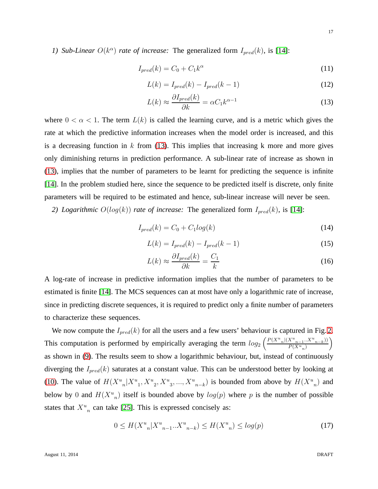*1) Sub-Linear*  $O(k^{\alpha})$  *rate of increase:* The generalized form  $I_{pred}(k)$ , is [\[14\]](#page-28-13):

$$
I_{pred}(k) = C_0 + C_1 k^{\alpha} \tag{11}
$$

$$
L(k) = I_{pred}(k) - I_{pred}(k-1)
$$
\n(12)

<span id="page-16-0"></span>
$$
L(k) \approx \frac{\partial I_{pred}(k)}{\partial k} = \alpha C_1 k^{\alpha - 1}
$$
\n(13)

where  $0 < \alpha < 1$ . The term  $L(k)$  is called the learning curve, and is a metric which gives the rate at which the predictive information increases when the model order is increased, and this is a decreasing function in  $k$  from [\(13\)](#page-16-0). This implies that increasing  $k$  more and more gives only diminishing returns in prediction performance. A sub-linear rate of increase as shown in [\(13\)](#page-16-0), implies that the number of parameters to be learnt for predicting the sequence is infinite [\[14\]](#page-28-13). In the problem studied here, since the sequence to be predicted itself is discrete, only finite parameters will be required to be estimated and hence, sub-linear increase will never be seen.

*2) Logarithmic*  $O(log(k))$  *rate of increase:* The generalized form  $I_{pred}(k)$ , is [\[14\]](#page-28-13):

$$
I_{pred}(k) = C_0 + C_1 log(k)
$$
\n
$$
(14)
$$

$$
L(k) = I_{pred}(k) - I_{pred}(k-1)
$$
\n(15)

$$
L(k) \approx \frac{\partial I_{pred}(k)}{\partial k} = \frac{C_1}{k}
$$
 (16)

A log-rate of increase in predictive information implies that the number of parameters to be estimated is finite [\[14\]](#page-28-13). The MCS sequences can at most have only a logarithmic rate of increase, since in predicting discrete sequences, it is required to predict only a finite number of parameters to characterize these sequences.

We now compute the  $I_{pred}(k)$  for all the users and a few users' behaviour is captured in Fig. [2.](#page-17-0) This computation is performed by empirically averaging the term  $log_2\left(\frac{P(X^u_{n}|(X^u_{n-1}..X^u_{n-k}))}{P(X^u_{n-1})}\right)$  $\frac{X^u_{n-1}...X^u_{n-k}}{P(X^u_{n})}\bigg)$ as shown in [\(9\)](#page-15-1). The results seem to show a logarithmic behaviour, but, instead of continuously diverging the  $I_{pred}(k)$  saturates at a constant value. This can be understood better by looking at [\(10\)](#page-15-2). The value of  $H(X_{-n}^u | X_{-n}^u, X_{-n}^u, X_{-n}^u, X_{-n-k}^u)$  is bounded from above by  $H(X_{-n}^u)$  and below by 0 and  $H(X^u{}_n)$  itself is bounded above by  $log(p)$  where p is the number of possible states that  $X_{n}^{u}$  can take [\[25\]](#page-29-11). This is expressed concisely as:

<span id="page-16-1"></span>
$$
0 \le H(X^u{}_n | X^u{}_{n-1} ... X^u{}_{n-k}) \le H(X^u{}_n) \le \log(p) \tag{17}
$$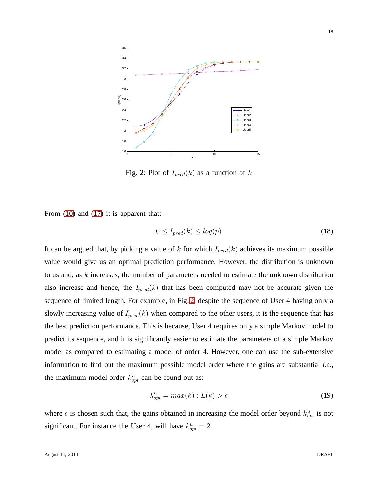<span id="page-17-0"></span>

Fig. 2: Plot of  $I_{pred}(k)$  as a function of k

From  $(10)$  and  $(17)$  it is apparent that:

$$
0 \le I_{pred}(k) \le \log(p) \tag{18}
$$

It can be argued that, by picking a value of k for which  $I_{pred}(k)$  achieves its maximum possible value would give us an optimal prediction performance. However, the distribution is unknown to us and, as k increases, the number of parameters needed to estimate the unknown distribution also increase and hence, the  $I_{pred}(k)$  that has been computed may not be accurate given the sequence of limited length. For example, in Fig. [2,](#page-17-0) despite the sequence of User 4 having only a slowly increasing value of  $I_{pred}(k)$  when compared to the other users, it is the sequence that has the best prediction performance. This is because, User 4 requires only a simple Markov model to predict its sequence, and it is significantly easier to estimate the parameters of a simple Markov model as compared to estimating a model of order 4. However, one can use the sub-extensive information to find out the maximum possible model order where the gains are substantial *i.e.,* the maximum model order  $k_{opt}^u$  can be found out as:

<span id="page-17-1"></span>
$$
k_{opt}^u = max(k) : L(k) > \epsilon
$$
\n(19)

where  $\epsilon$  is chosen such that, the gains obtained in increasing the model order beyond  $k_{opt}^u$  is not significant. For instance the User 4, will have  $k_{opt}^u = 2$ .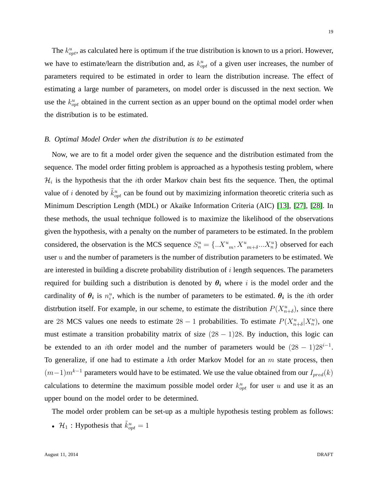19

we have to estimate/learn the distribution and, as  $k_{opt}^u$  of a given user increases, the number of parameters required to be estimated in order to learn the distribution increase. The effect of estimating a large number of parameters, on model order is discussed in the next section. We use the  $k_{opt}^u$  obtained in the current section as an upper bound on the optimal model order when the distribution is to be estimated.

# <span id="page-18-0"></span>*B. Optimal Model Order when the distribution is to be estimated*

Now, we are to fit a model order given the sequence and the distribution estimated from the sequence. The model order fitting problem is approached as a hypothesis testing problem, where  $\mathcal{H}_i$  is the hypothesis that the *i*th order Markov chain best fits the sequence. Then, the optimal value of *i* denoted by  $\tilde{k}_{opt}^u$  can be found out by maximizing information theoretic criteria such as Minimum Description Length (MDL) or Akaike Information Criteria (AIC) [\[13\]](#page-28-12), [\[27\]](#page-29-12), [\[28\]](#page-29-13). In these methods, the usual technique followed is to maximize the likelihood of the observations given the hypothesis, with a penalty on the number of parameters to be estimated. In the problem considered, the observation is the MCS sequence  $S_n^u = \{..X_{m}^u, X_{m+\delta}^u,..X_n^u\}$  observed for each user  $u$  and the number of parameters is the number of distribution parameters to be estimated. We are interested in building a discrete probability distribution of i length sequences. The parameters required for building such a distribution is denoted by  $\theta_i$  where i is the model order and the cardinality of  $\theta_i$  is  $n_i^u$ , which is the number of parameters to be estimated.  $\theta_i$  is the *i*th order distrbution itself. For example, in our scheme, to estimate the distribution  $P(X_{n+\delta}^u)$ , since there are 28 MCS values one needs to estimate  $28 - 1$  probabilities. To estimate  $P(X_{n+\delta}^u | X_n^u)$ , one must estimate a transition probability matrix of size  $(28 - 1)28$ . By induction, this logic can be extended to an *i*th order model and the number of parameters would be  $(28 - 1)28^{i-1}$ . To generalize, if one had to estimate a  $k$ th order Markov Model for an  $m$  state process, then  $(m-1)m^{k-1}$  parameters would have to be estimated. We use the value obtained from our  $I_{pred}(k)$ calculations to determine the maximum possible model order  $k_{opt}^u$  for user u and use it as an upper bound on the model order to be determined.

The model order problem can be set-up as a multiple hypothesis testing problem as follows:

•  $\mathcal{H}_1$ : Hypothesis that  $\tilde{k}_{opt}^u = 1$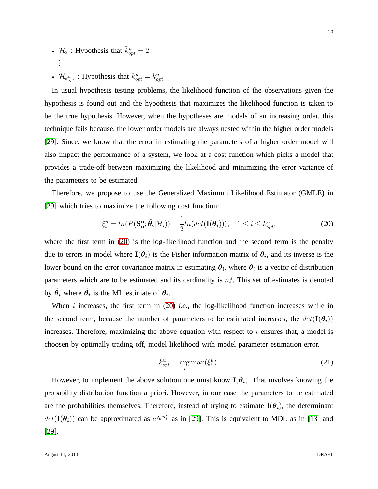- $\mathcal{H}_2$ : Hypothesis that  $\tilde{k}_{opt}^u = 2$ . . .
- $\mathcal{H}_{k_{opt}}$ : Hypothesis that  $\tilde{k}_{opt}^u = k_{opt}^u$

In usual hypothesis testing problems, the likelihood function of the observations given the hypothesis is found out and the hypothesis that maximizes the likelihood function is taken to be the true hypothesis. However, when the hypotheses are models of an increasing order, this technique fails because, the lower order models are always nested within the higher order models [\[29\]](#page-29-14). Since, we know that the error in estimating the parameters of a higher order model will also impact the performance of a system, we look at a cost function which picks a model that provides a trade-off between maximizing the likelihood and minimizing the error variance of the parameters to be estimated.

Therefore, we propose to use the Generalized Maximum Likelihood Estimator (GMLE) in [\[29\]](#page-29-14) which tries to maximize the following cost function:

$$
\xi_i^u = \ln(P(\mathbf{S_n^u}; \hat{\theta}_i | \mathcal{H}_i)) - \frac{1}{2}\ln(\det(\mathbf{I}(\theta_i))), \quad 1 \le i \le k_{opt}^u,\tag{20}
$$

where the first term in [\(20\)](#page-19-0) is the log-likelihood function and the second term is the penalty due to errors in model where  $I(\theta_i)$  is the Fisher information matrix of  $\theta_i$ , and its inverse is the lower bound on the error covariance matrix in estimating  $\theta_i$ , where  $\theta_i$  is a vector of distribution parameters which are to be estimated and its cardinality is  $n_i^u$ . This set of estimates is denoted by  $\hat{\theta}_i$  where  $\hat{\theta}_i$  is the ML estimate of  $\theta_i$ .

When  $i$  increases, the first term in  $(20)$  *i.e.*, the log-likelihood function increases while in the second term, because the number of parameters to be estimated increases, the  $det(\mathbf{I}(\theta_i))$ increases. Therefore, maximizing the above equation with respect to  $i$  ensures that, a model is choosen by optimally trading off, model likelihood with model parameter estimation error.

<span id="page-19-0"></span>
$$
\tilde{k}_{opt}^u = \underset{i}{\arg \max} (\xi_i^u). \tag{21}
$$

However, to implement the above solution one must know  $I(\theta_i)$ . That involves knowing the probability distribution function a priori. However, in our case the parameters to be estimated are the probabilities themselves. Therefore, instead of trying to estimate  $I(\theta_i)$ , the determinant  $det(\mathbf{I}(\theta_i))$  can be approximated as  $cN^{n_i^u}$  as in [\[29\]](#page-29-14). This is equivalent to MDL as in [\[13\]](#page-28-12) and [\[29\]](#page-29-14).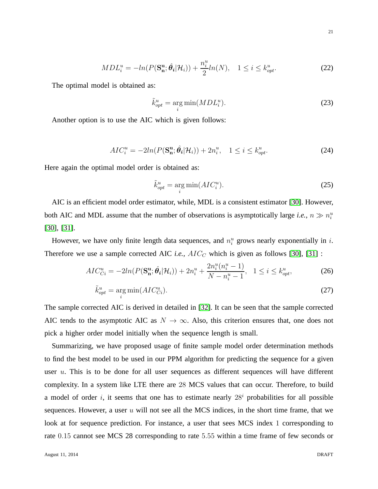$$
MDL_i^u = -ln(P(\mathbf{S_n^u}; \hat{\theta}_i | \mathcal{H}_i)) + \frac{n_i^u}{2}ln(N), \quad 1 \le i \le k_{opt}^u.
$$
 (22)

The optimal model is obtained as:

$$
\tilde{k}_{opt}^u = \underset{i}{\text{arg min}} (MDL_i^u). \tag{23}
$$

Another option is to use the AIC which is given follows:

$$
AIC_i^u = -2ln(P(\mathbf{S_n^u}; \hat{\theta}_i | \mathcal{H}_i)) + 2n_i^u, \quad 1 \le i \le k_{opt}^u.
$$

Here again the optimal model order is obtained as:

$$
\tilde{k}_{opt}^u = \underset{i}{\text{arg min}}(AIC_i^u). \tag{25}
$$

AIC is an efficient model order estimator, while, MDL is a consistent estimator [\[30\]](#page-29-15). However, both AIC and MDL assume that the number of observations is asymptotically large *i.e.*,  $n \gg n_i^u$ [\[30\]](#page-29-15), [\[31\]](#page-29-16).

However, we have only finite length data sequences, and  $n_i^u$  grows nearly exponentially in i. Therefore we use a sample corrected AIC *i.e.*,  $AIC_C$  which is given as follows [\[30\]](#page-29-15), [\[31\]](#page-29-16) :

$$
AIC_{Ci}^{u} = -2ln(P(\mathbf{S_{n}^{u}}; \hat{\theta}_{i}|\mathcal{H}_{i})) + 2n_{i}^{u} + \frac{2n_{i}^{u}(n_{i}^{u} - 1)}{N - n_{i}^{u} - 1}, \quad 1 \leq i \leq k_{opt}^{u}, \tag{26}
$$

$$
\tilde{k}_{opt}^u = \underset{i}{\text{arg min}}(AIC_{Ci}^u). \tag{27}
$$

The sample corrected AIC is derived in detailed in [\[32\]](#page-29-17). It can be seen that the sample corrected AIC tends to the asymptotic AIC as  $N \to \infty$ . Also, this criterion ensures that, one does not pick a higher order model initially when the sequence length is small.

Summarizing, we have proposed usage of finite sample model order determination methods to find the best model to be used in our PPM algorithm for predicting the sequence for a given user u. This is to be done for all user sequences as different sequences will have different complexity. In a system like LTE there are 28 MCS values that can occur. Therefore, to build a model of order i, it seems that one has to estimate nearly  $28<sup>i</sup>$  probabilities for all possible sequences. However, a user  $u$  will not see all the MCS indices, in the short time frame, that we look at for sequence prediction. For instance, a user that sees MCS index 1 corresponding to rate 0.15 cannot see MCS 28 corresponding to rate 5.55 within a time frame of few seconds or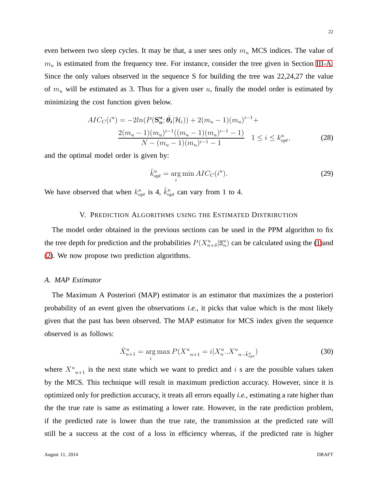even between two sleep cycles. It may be that, a user sees only  $m_u$  MCS indices. The value of  $m<sub>u</sub>$  is estimated from the frequency tree. For instance, consider the tree given in Section [III-A.](#page-8-0) Since the only values observed in the sequence S for building the tree was 22,24,27 the value of  $m_u$  will be estimated as 3. Thus for a given user u, finally the model order is estimated by minimizing the cost function given below.

$$
AIC_C(i^u) = -2ln(P(\mathbf{S_u^u}; \hat{\theta}_i|\mathcal{H}_i)) + 2(m_u - 1)(m_u)^{i-1} +
$$
  

$$
\frac{2(m_u - 1)(m_u)^{i-1}((m_u - 1)(m_u)^{i-1} - 1)}{N - (m_u - 1)(m_u)^{i-1} - 1} \quad 1 \le i \le k_{opt}^u,
$$
 (28)

and the optimal model order is given by:

<span id="page-21-1"></span><span id="page-21-0"></span>
$$
\tilde{k}_{opt}^u = \underset{i}{\text{arg min}} \, AIC_C(i^u). \tag{29}
$$

We have observed that when  $k_{opt}^u$  is 4,  $\tilde{k}_{opt}^u$  can vary from 1 to 4.

# V. PREDICTION ALGORITHMS USING THE ESTIMATED DISTRIBUTION

The model order obtained in the previous sections can be used in the PPM algorithm to fix the tree depth for prediction and the probabilities  $P(X_{n+\delta}^u | \mathbf{S}_n^u)$  can be calculated using the [\(1\)](#page-12-1)and [\(2\)](#page-12-0). We now propose two prediction algorithms.

### *A. MAP Estimator*

The Maximum A Posteriori (MAP) estimator is an estimator that maximizes the a posteriori probability of an event given the observations *i.e.,* it picks that value which is the most likely given that the past has been observed. The MAP estimator for MCS index given the sequence observed is as follows:

<span id="page-21-2"></span>
$$
\hat{X}_{n+1}^u = \underset{i}{\arg \max} P(X_{n+1}^u = i | X_n^u ... X_{n - \tilde{k}_{opt}}^u)
$$
\n(30)

where  $X_{n+1}^u$  is the next state which we want to predict and i s are the possible values taken by the MCS. This technique will result in maximum prediction accuracy. However, since it is optimized only for prediction accuracy, it treats all errors equally *i.e.,* estimating a rate higher than the the true rate is same as estimating a lower rate. However, in the rate prediction problem, if the predicted rate is lower than the true rate, the transmission at the predicted rate will still be a success at the cost of a loss in efficiency whereas, if the predicted rate is higher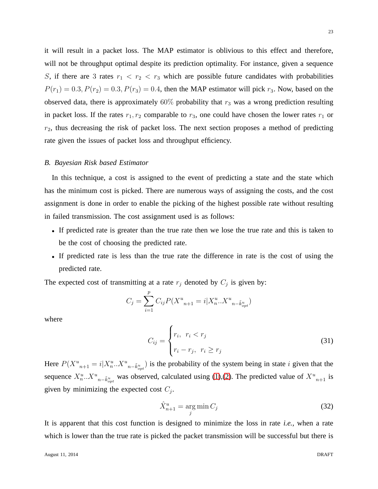23

it will result in a packet loss. The MAP estimator is oblivious to this effect and therefore, will not be throughput optimal despite its prediction optimality. For instance, given a sequence S, if there are 3 rates  $r_1 < r_2 < r_3$  which are possible future candidates with probabilities  $P(r_1) = 0.3, P(r_2) = 0.3, P(r_3) = 0.4$ , then the MAP estimator will pick  $r_3$ . Now, based on the observed data, there is approximately  $60\%$  probability that  $r_3$  was a wrong prediction resulting in packet loss. If the rates  $r_1, r_2$  comparable to  $r_3$ , one could have chosen the lower rates  $r_1$  or  $r<sub>2</sub>$ , thus decreasing the risk of packet loss. The next section proposes a method of predicting rate given the issues of packet loss and throughput efficiency.

#### <span id="page-22-0"></span>*B. Bayesian Risk based Estimator*

In this technique, a cost is assigned to the event of predicting a state and the state which has the minimum cost is picked. There are numerous ways of assigning the costs, and the cost assignment is done in order to enable the picking of the highest possible rate without resulting in failed transmission. The cost assignment used is as follows:

- If predicted rate is greater than the true rate then we lose the true rate and this is taken to be the cost of choosing the predicted rate.
- If predicted rate is less than the true rate the difference in rate is the cost of using the predicted rate.

The expected cost of transmitting at a rate  $r_j$  denoted by  $C_j$  is given by:

$$
C_j = \sum_{i=1}^{p} C_{ij} P(X_{n+1}^u = i | X_n^u ... X_{n - \tilde{k}_{opt}^u}^u)
$$

where

$$
C_{ij} = \begin{cases} r_i, & r_i < r_j \\ r_i - r_j, & r_i \ge r_j \end{cases} \tag{31}
$$

Here  $P(X^u_{n+1} = i | X^u_n ... X^u_{n - \tilde{k}^u_{opt}})$  is the probability of the system being in state i given that the sequence  $X_n^u...X_{n-\tilde{k}_{opt}^u}$  was observed, calculated using [\(1\)](#page-12-1),[\(2\)](#page-12-0). The predicted value of  $X_{n+1}^u$  is given by minimizing the expected cost  $C_j$ .

<span id="page-22-1"></span>
$$
\hat{X}_{n+1}^u = \underset{j}{\text{arg min}} \, C_j \tag{32}
$$

It is apparent that this cost function is designed to minimize the loss in rate *i.e.,* when a rate which is lower than the true rate is picked the packet transmission will be successful but there is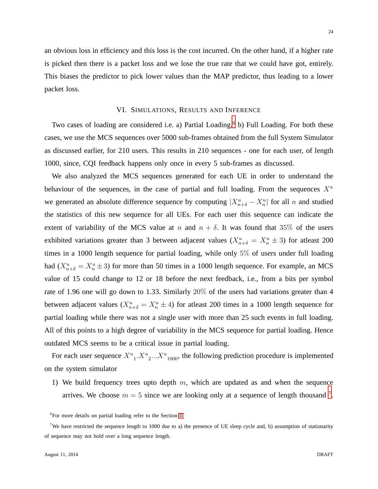an obvious loss in efficiency and this loss is the cost incurred. On the other hand, if a higher rate is picked then there is a packet loss and we lose the true rate that we could have got, entirely. This biases the predictor to pick lower values than the MAP predictor, thus leading to a lower packet loss.

# VI. SIMULATIONS, RESULTS AND INFERENCE

Two cases of loading are considered i.e. a) Partial Loading,<sup>[6](#page-23-0)</sup> b) Full Loading. For both these cases, we use the MCS sequences over 5000 sub-frames obtained from the full System Simulator as discussed earlier, for 210 users. This results in 210 sequences - one for each user, of length 1000, since, CQI feedback happens only once in every 5 sub-frames as discussed.

We also analyzed the MCS sequences generated for each UE in order to understand the behaviour of the sequences, in the case of partial and full loading. From the sequences  $X^u$ we generated an absolute difference sequence by computing  $|X_{n+\delta}^u - X_n^u|$  for all n and studied the statistics of this new sequence for all UEs. For each user this sequence can indicate the extent of variability of the MCS value at n and  $n + \delta$ . It was found that 35% of the users exhibited variations greater than 3 between adjacent values  $(X_{n+\delta}^u = X_n^u \pm 3)$  for at east 200 times in a 1000 length sequence for partial loading, while only 5% of users under full loading had  $(X_{n+\delta}^u = X_n^u \pm 3)$  for more than 50 times in a 1000 length sequence. For example, an MCS value of 15 could change to 12 or 18 before the next feedback, i.e., from a bits per symbol rate of 1.96 one will go down to 1.33. Similarly 20% of the users had variations greater than 4 between adjacent values ( $X_{n+\delta}^u = X_n^u \pm 4$ ) for atleast 200 times in a 1000 length sequence for partial loading while there was not a single user with more than 25 such events in full loading. All of this points to a high degree of variability in the MCS sequence for partial loading. Hence outdated MCS seems to be a critical issue in partial loading.

For each user sequence  $X^u_{1}$ ,  $X^u_{2}$ ,  $X^u_{1000}$ , the following prediction procedure is implemented on the system simulator

1) We build frequency trees upto depth  $m$ , which are updated as and when the sequence arrives. We choose  $m = 5$  since we are looking only at a sequence of length thousand  $7$ .

<span id="page-23-0"></span><sup>&</sup>lt;sup>6</sup>For more details on partial loading refer to the Section [II](#page-5-1)

<span id="page-23-1"></span><sup>&</sup>lt;sup>7</sup>We have restricted the sequence length to 1000 due to a) the presence of UE sleep cycle and, b) assumption of stationarity of sequence may not hold over a long sequence length.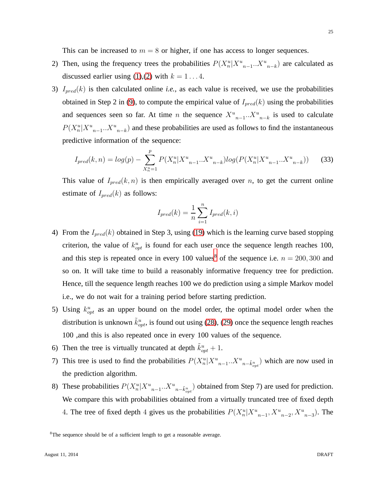This can be increased to  $m = 8$  or higher, if one has access to longer sequences.

- 2) Then, using the frequency trees the probabilities  $P(X_n^u | X^u{}_{n-1} ... X^u{}_{n-k})$  are calculated as discussed earlier using [\(1\)](#page-12-1),[\(2\)](#page-12-0) with  $k = 1...4$ .
- 3)  $I_{pred}(k)$  is then calculated online *i.e.*, as each value is received, we use the probabilities obtained in Step 2 in [\(9\)](#page-15-1), to compute the empirical value of  $I_{pred}(k)$  using the probabilities and sequences seen so far. At time *n* the sequence  $X^u{}_{n-1}$ .  $X^u{}_{n-k}$  is used to calculate  $P(X_n^u | X_{n-1}^u ... X_{n-k}^u)$  and these probabilities are used as follows to find the instantaneous predictive information of the sequence:

$$
I_{pred}(k,n) = log(p) - \sum_{X_n^u=1}^{p} P(X_n^u | X_{n-1}^u ... X_{n-k}^u) log(P(X_n^u | X_{n-1}^u ... X_{n-k}^u))
$$
 (33)

This value of  $I_{pred}(k, n)$  is then empirically averaged over n, to get the current online estimate of  $I_{pred}(k)$  as follows:

$$
I_{pred}(k) = \frac{1}{n} \sum_{i=1}^{n} I_{pred}(k, i)
$$

- 4) From the  $I_{pred}(k)$  obtained in Step 3, using [\(19\)](#page-17-1) which is the learning curve based stopping criterion, the value of  $k_{opt}^u$  is found for each user once the sequence length reaches 100, and this step is repeated once in every 100 values<sup>[8](#page-24-0)</sup> of the sequence i.e.  $n = 200, 300$  and so on. It will take time to build a reasonably informative frequency tree for prediction. Hence, till the sequence length reaches 100 we do prediction using a simple Markov model i.e., we do not wait for a training period before starting prediction.
- 5) Using  $k_{opt}^u$  as an upper bound on the model order, the optimal model order when the distribution is unknown  $\tilde{k}_{opt}^u$ , is found out using [\(28\)](#page-21-0), [\(29\)](#page-21-1) once the sequence length reaches 100 ,and this is also repeated once in every 100 values of the sequence.
- 6) Then the tree is virtually truncated at depth  $\tilde{k}_{opt}^u + 1$ .
- 7) This tree is used to find the probabilities  $P(X_n^u | X^u{}_{n-1} ... X^u{}_{n-\tilde{k}^u_{opt}})$  which are now used in the prediction algorithm.
- 8) These probabilities  $P(X_n^u | X_{n-1}^u ... X_{n-\tilde{k}_{opt}^u})$  obtained from Step 7) are used for prediction. We compare this with probabilities obtained from a virtually truncated tree of fixed depth 4. The tree of fixed depth 4 gives us the probabilities  $P(X_n^u | X_{n-1}^u, X_{n-2}^u, X_{n-3}^u)$ . The

25

<span id="page-24-0"></span><sup>&</sup>lt;sup>8</sup>The sequence should be of a sufficient length to get a reasonable average.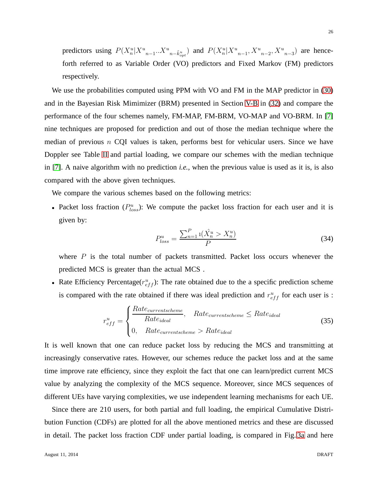predictors using  $P(X_n^u | X^u{}_{n-1} ... X^u{}_{n-\tilde{k}^u_{opt}})$  and  $P(X_n^u | X^u{}_{n-1}, X^u{}_{n-2}, X^u{}_{n-3})$  are henceforth referred to as Variable Order (VO) predictors and Fixed Markov (FM) predictors respectively.

We use the probabilities computed using PPM with VO and FM in the MAP predictor in [\(30\)](#page-21-2) and in the Bayesian Risk Mimimizer (BRM) presented in Section [V-B](#page-22-0) in [\(32\)](#page-22-1) and compare the performance of the four schemes namely, FM-MAP, FM-BRM, VO-MAP and VO-BRM. In [\[7\]](#page-28-4) nine techniques are proposed for prediction and out of those the median technique where the median of previous  $n$  CQI values is taken, performs best for vehicular users. Since we have Doppler see Table [II](#page-7-0) and partial loading, we compare our schemes with the median technique in [\[7\]](#page-28-4). A naive algorithm with no prediction *i.e.,* when the previous value is used as it is, is also compared with the above given techniques.

We compare the various schemes based on the following metrics:

• Packet loss fraction  $(P_{loss}^u)$ : We compute the packet loss fraction for each user and it is given by:

$$
P_{loss}^u = \frac{\sum_{n=1}^P \mathbf{1}(\hat{X}_n^u > X_n^u)}{P}
$$
 (34)

where  $P$  is the total number of packets transmitted. Packet loss occurs whenever the predicted MCS is greater than the actual MCS .

• Rate Efficiency Percentage( $r_{eff}^u$ ): The rate obtained due to the a specific prediction scheme is compared with the rate obtained if there was ideal prediction and  $r_{eff}^u$  for each user is :

$$
r_{eff}^{u} = \begin{cases} \frac{Rate_{current scheme}}{Rate_{ideal}}, & Rate_{current scheme} \le Rate_{ideal} \\ 0, & Rate_{current scheme} > Rate_{ideal} \end{cases}
$$
 (35)

It is well known that one can reduce packet loss by reducing the MCS and transmitting at increasingly conservative rates. However, our schemes reduce the packet loss and at the same time improve rate efficiency, since they exploit the fact that one can learn/predict current MCS value by analyzing the complexity of the MCS sequence. Moreover, since MCS sequences of different UEs have varying complexities, we use independent learning mechanisms for each UE.

Since there are 210 users, for both partial and full loading, the empirical Cumulative Distribution Function (CDFs) are plotted for all the above mentioned metrics and these are discussed in detail. The packet loss fraction CDF under partial loading, is compared in Fig. [3a](#page-26-0) and here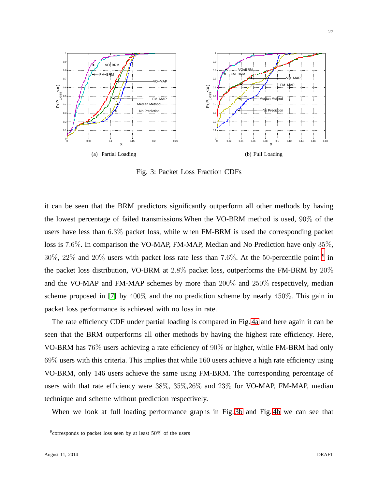<span id="page-26-0"></span>

<span id="page-26-2"></span>Fig. 3: Packet Loss Fraction CDFs

it can be seen that the BRM predictors significantly outperform all other methods by having the lowest percentage of failed transmissions.When the VO-BRM method is used, 90% of the users have less than 6.3% packet loss, while when FM-BRM is used the corresponding packet loss is 7.6%. In comparison the VO-MAP, FM-MAP, Median and No Prediction have only 35%,  $30\%$ ,  $22\%$  and  $20\%$  users with packet loss rate less than 7.6%. At the 50-percentile point  $9$  in the packet loss distribution, VO-BRM at 2.8% packet loss, outperforms the FM-BRM by 20% and the VO-MAP and FM-MAP schemes by more than 200% and 250% respectively, median scheme proposed in [\[7\]](#page-28-4) by 400% and the no prediction scheme by nearly 450%. This gain in packet loss performance is achieved with no loss in rate.

The rate efficiency CDF under partial loading is compared in Fig. [4a](#page-27-0) and here again it can be seen that the BRM outperforms all other methods by having the highest rate efficiency. Here, VO-BRM has 76% users achieving a rate efficiency of 90% or higher, while FM-BRM had only 69% users with this criteria. This implies that while 160 users achieve a high rate efficiency using VO-BRM, only 146 users achieve the same using FM-BRM. The corresponding percentage of users with that rate efficiency were 38%, 35%,26% and 23% for VO-MAP, FM-MAP, median technique and scheme without prediction respectively.

When we look at full loading performance graphs in Fig. [3b](#page-26-2) and Fig. [4b](#page-27-1) we can see that

<span id="page-26-1"></span> $9^9$ corresponds to packet loss seen by at least 50% of the users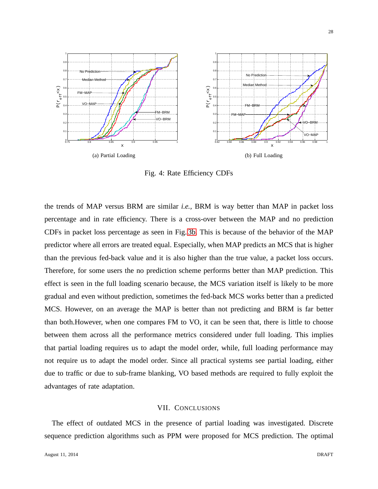<span id="page-27-0"></span>

<span id="page-27-1"></span>Fig. 4: Rate Efficiency CDFs

the trends of MAP versus BRM are similar *i.e.,* BRM is way better than MAP in packet loss percentage and in rate efficiency. There is a cross-over between the MAP and no prediction CDFs in packet loss percentage as seen in Fig. [3b.](#page-26-2) This is because of the behavior of the MAP predictor where all errors are treated equal. Especially, when MAP predicts an MCS that is higher than the previous fed-back value and it is also higher than the true value, a packet loss occurs. Therefore, for some users the no prediction scheme performs better than MAP prediction. This effect is seen in the full loading scenario because, the MCS variation itself is likely to be more gradual and even without prediction, sometimes the fed-back MCS works better than a predicted MCS. However, on an average the MAP is better than not predicting and BRM is far better than both.However, when one compares FM to VO, it can be seen that, there is little to choose between them across all the performance metrics considered under full loading. This implies that partial loading requires us to adapt the model order, while, full loading performance may not require us to adapt the model order. Since all practical systems see partial loading, either due to traffic or due to sub-frame blanking, VO based methods are required to fully exploit the advantages of rate adaptation.

# VII. CONCLUSIONS

The effect of outdated MCS in the presence of partial loading was investigated. Discrete sequence prediction algorithms such as PPM were proposed for MCS prediction. The optimal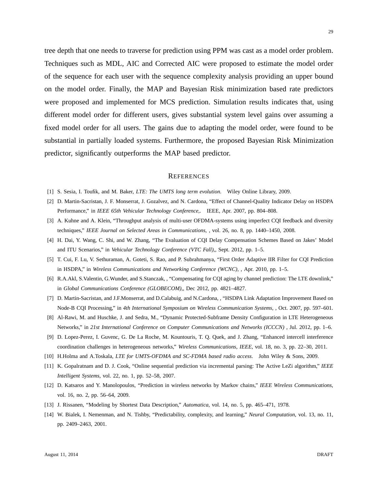tree depth that one needs to traverse for prediction using PPM was cast as a model order problem. Techniques such as MDL, AIC and Corrected AIC were proposed to estimate the model order of the sequence for each user with the sequence complexity analysis providing an upper bound on the model order. Finally, the MAP and Bayesian Risk minimization based rate predictors were proposed and implemented for MCS prediction. Simulation results indicates that, using different model order for different users, gives substantial system level gains over assuming a fixed model order for all users. The gains due to adapting the model order, were found to be substantial in partially loaded systems. Furthermore, the proposed Bayesian Risk Minimization predictor, significantly outperforms the MAP based predictor.

#### **REFERENCES**

- <span id="page-28-1"></span><span id="page-28-0"></span>[1] S. Sesia, I. Toufik, and M. Baker, *LTE: The UMTS long term evolution*. Wiley Online Library, 2009.
- <span id="page-28-2"></span>[2] D. Martin-Sacristan, J. F. Monserrat, J. Gozalvez, and N. Cardona, "Effect of Channel-Quality Indicator Delay on HSDPA Performance," in *IEEE 65th Vehicular Technology Conference,*. IEEE, Apr. 2007, pp. 804–808.
- <span id="page-28-3"></span>[3] A. Kuhne and A. Klein, "Throughput analysis of multi-user OFDMA-systems using imperfect CQI feedback and diversity techniques," *IEEE Journal on Selected Areas in Communications,* , vol. 26, no. 8, pp. 1440–1450, 2008.
- <span id="page-28-8"></span>[4] H. Dai, Y. Wang, C. Shi, and W. Zhang, "The Evaluation of CQI Delay Compensation Schemes Based on Jakes' Model and ITU Scenarios," in *Vehicular Technology Conference (VTC Fall),*, Sept. 2012, pp. 1–5.
- <span id="page-28-7"></span>[5] T. Cui, F. Lu, V. Sethuraman, A. Goteti, S. Rao, and P. Subrahmanya, "First Order Adaptive IIR Filter for CQI Prediction in HSDPA," in *Wireless Communications and Networking Conference (WCNC),* , Apr. 2010, pp. 1–5.
- <span id="page-28-4"></span>[6] R.A.Akl, S.Valentin, G.Wunder, and S.Stanczak, , "Compensating for CQI aging by channel prediction: The LTE downlink," in *Global Communications Conference (GLOBECOM),*, Dec 2012, pp. 4821–4827.
- <span id="page-28-5"></span>[7] D. Martin-Sacristan, and J.F.Monserrat, and D.Calabuig, and N.Cardona, , "HSDPA Link Adaptation Improvement Based on Node-B CQI Processing," in *4th International Symposium on Wireless Communication Systems,* , Oct. 2007, pp. 597–601.
- <span id="page-28-6"></span>[8] Al-Rawi, M. and Huschke, J. and Sedra, M., "Dynamic Protected-Subframe Density Configuration in LTE Heterogeneous Networks," in *21st International Conference on Computer Communications and Networks (ICCCN)* , Jul. 2012, pp. 1–6.
- <span id="page-28-9"></span>[9] D. Lopez-Perez, I. Guvenc, G. De La Roche, M. Kountouris, T. Q. Quek, and J. Zhang, "Enhanced intercell interference coordination challenges in heterogeneous networks," *Wireless Communications, IEEE*, vol. 18, no. 3, pp. 22–30, 2011.
- <span id="page-28-10"></span>[10] H.Holma and A.Toskala, *LTE for UMTS-OFDMA and SC-FDMA based radio access*. John Wiley & Sons, 2009.
- <span id="page-28-11"></span>[11] K. Gopalratnam and D. J. Cook, "Online sequential prediction via incremental parsing: The Active LeZi algorithm," *IEEE Intelligent Systems*, vol. 22, no. 1, pp. 52–58, 2007.
- <span id="page-28-12"></span>[12] D. Katsaros and Y. Manolopoulos, "Prediction in wireless networks by Markov chains," *IEEE Wireless Communications*, vol. 16, no. 2, pp. 56–64, 2009.
- <span id="page-28-13"></span>[13] J. Rissanen, "Modeling by Shortest Data Description," *Automatica*, vol. 14, no. 5, pp. 465–471, 1978.
- [14] W. Bialek, I. Nemenman, and N. Tishby, "Predictability, complexity, and learning," *Neural Computation*, vol. 13, no. 11, pp. 2409–2463, 2001.